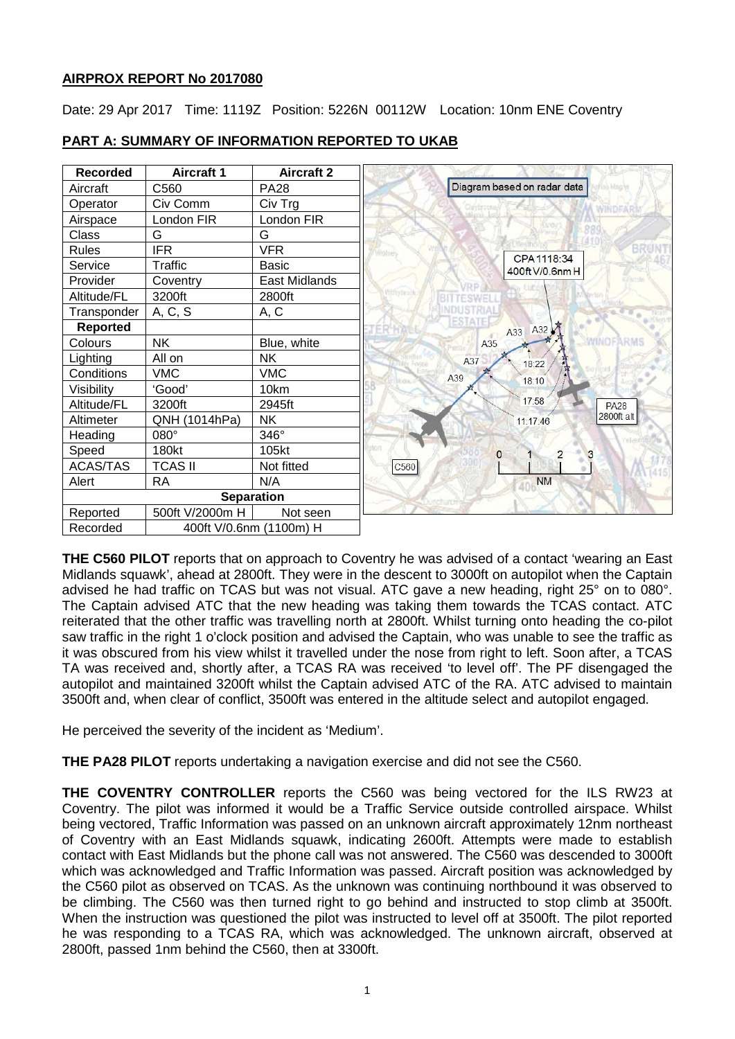# **AIRPROX REPORT No 2017080**

Date: 29 Apr 2017 Time: 1119Z Position: 5226N 00112W Location: 10nm ENE Coventry

| <b>Recorded</b>   | <b>Aircraft 1</b>       | <b>Aircraft 2</b> |                             |
|-------------------|-------------------------|-------------------|-----------------------------|
| Aircraft          | C560                    | <b>PA28</b>       | Diagram based on radar data |
| Operator          | Civ Comm                | Civ Trg           |                             |
| Airspace          | London FIR              | London FIR        |                             |
| Class             | G                       | G                 |                             |
| <b>Rules</b>      | <b>IFR</b>              | <b>VFR</b>        | CPA 1118:34                 |
| Service           | Traffic                 | <b>Basic</b>      | 400ft V/0.6nm H             |
| Provider          | Coventry                | East Midlands     |                             |
| Altitude/FL       | 3200ft                  | 2800ft            |                             |
| Transponder       | A, C, S                 | A, C              |                             |
| <b>Reported</b>   |                         |                   | ESTATE<br>A33 A32           |
| Colours           | <b>NK</b>               | Blue, white       | A35                         |
| Lighting          | All on                  | <b>NK</b>         | A37<br>18:22                |
| Conditions        | <b>VMC</b>              | <b>VMC</b>        | A39<br>18:10                |
| Visibility        | 'Good'                  | 10km              |                             |
| Altitude/FL       | 3200ft                  | 2945ft            | 17:58                       |
| Altimeter         | QNH (1014hPa)           | <b>NK</b>         | 11:17:46                    |
| Heading           | $080^\circ$             | 346°              |                             |
| Speed             | 180kt                   | 105kt             | $\mathbf{O}$                |
| <b>ACAS/TAS</b>   | <b>TCAS II</b>          | Not fitted        | C560                        |
| Alert             | <b>RA</b>               | N/A               | <b>NM</b>                   |
| <b>Separation</b> |                         |                   |                             |
| Reported          | 500ft V/2000m H         | Not seen          |                             |
| Recorded          | 400ft V/0.6nm (1100m) H |                   |                             |

# **PART A: SUMMARY OF INFORMATION REPORTED TO UKAB**

**THE C560 PILOT** reports that on approach to Coventry he was advised of a contact 'wearing an East Midlands squawk', ahead at 2800ft. They were in the descent to 3000ft on autopilot when the Captain advised he had traffic on TCAS but was not visual. ATC gave a new heading, right 25° on to 080°. The Captain advised ATC that the new heading was taking them towards the TCAS contact. ATC reiterated that the other traffic was travelling north at 2800ft. Whilst turning onto heading the co-pilot saw traffic in the right 1 o'clock position and advised the Captain, who was unable to see the traffic as it was obscured from his view whilst it travelled under the nose from right to left. Soon after, a TCAS TA was received and, shortly after, a TCAS RA was received 'to level off'. The PF disengaged the autopilot and maintained 3200ft whilst the Captain advised ATC of the RA. ATC advised to maintain 3500ft and, when clear of conflict, 3500ft was entered in the altitude select and autopilot engaged.

He perceived the severity of the incident as 'Medium'.

**THE PA28 PILOT** reports undertaking a navigation exercise and did not see the C560.

**THE COVENTRY CONTROLLER** reports the C560 was being vectored for the ILS RW23 at Coventry. The pilot was informed it would be a Traffic Service outside controlled airspace. Whilst being vectored, Traffic Information was passed on an unknown aircraft approximately 12nm northeast of Coventry with an East Midlands squawk, indicating 2600ft. Attempts were made to establish contact with East Midlands but the phone call was not answered. The C560 was descended to 3000ft which was acknowledged and Traffic Information was passed. Aircraft position was acknowledged by the C560 pilot as observed on TCAS. As the unknown was continuing northbound it was observed to be climbing. The C560 was then turned right to go behind and instructed to stop climb at 3500ft. When the instruction was questioned the pilot was instructed to level off at 3500ft. The pilot reported he was responding to a TCAS RA, which was acknowledged. The unknown aircraft, observed at 2800ft, passed 1nm behind the C560, then at 3300ft.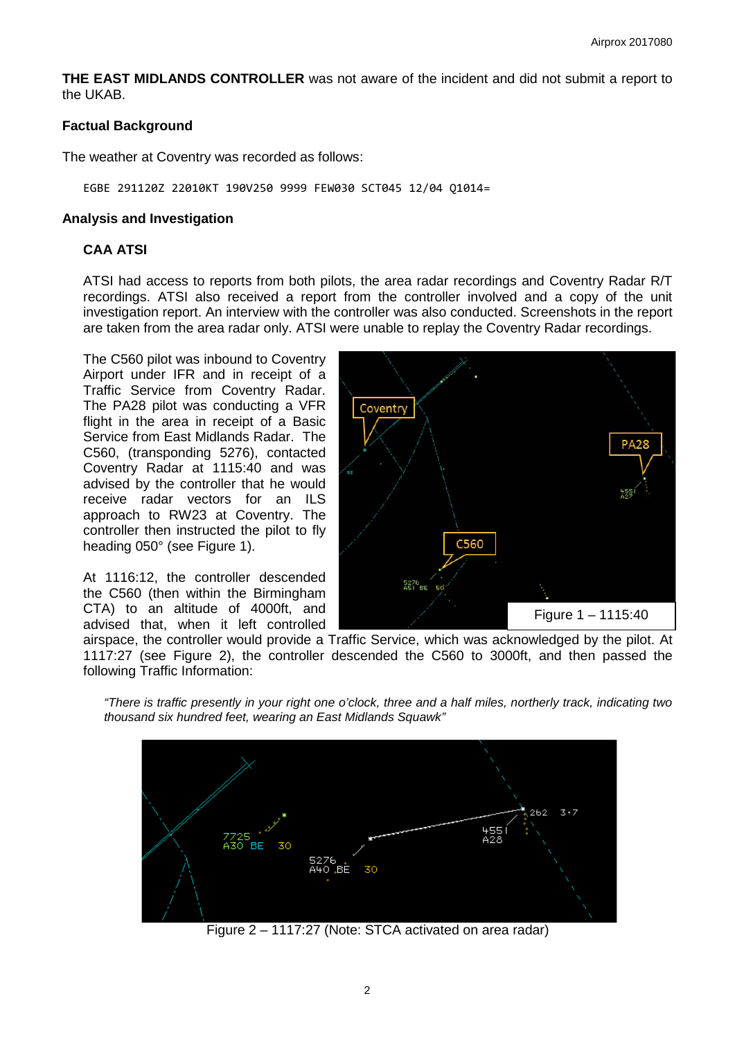**THE EAST MIDLANDS CONTROLLER** was not aware of the incident and did not submit a report to the UKAB.

### **Factual Background**

The weather at Coventry was recorded as follows:

EGBE 291120Z 22010KT 190V250 9999 FEW030 SCT045 12/04 Q1014=

### **Analysis and Investigation**

## **CAA ATSI**

ATSI had access to reports from both pilots, the area radar recordings and Coventry Radar R/T recordings. ATSI also received a report from the controller involved and a copy of the unit investigation report. An interview with the controller was also conducted. Screenshots in the report are taken from the area radar only. ATSI were unable to replay the Coventry Radar recordings.

The C560 pilot was inbound to Coventry Airport under IFR and in receipt of a Traffic Service from Coventry Radar. The PA28 pilot was conducting a VFR flight in the area in receipt of a Basic Service from East Midlands Radar. The C560, (transponding 5276), contacted Coventry Radar at 1115:40 and was advised by the controller that he would receive radar vectors for an ILS approach to RW23 at Coventry. The controller then instructed the pilot to fly heading 050° (see Figure 1).

At 1116:12, the controller descended the C560 (then within the Birmingham CTA) to an altitude of 4000ft, and advised that, when it left controlled



airspace, the controller would provide a Traffic Service, which was acknowledged by the pilot. At 1117:27 (see Figure 2), the controller descended the C560 to 3000ft, and then passed the following Traffic Information:

*"There is traffic presently in your right one o'clock, three and a half miles, northerly track, indicating two thousand six hundred feet, wearing an East Midlands Squawk"*



Figure 2 – 1117:27 (Note: STCA activated on area radar)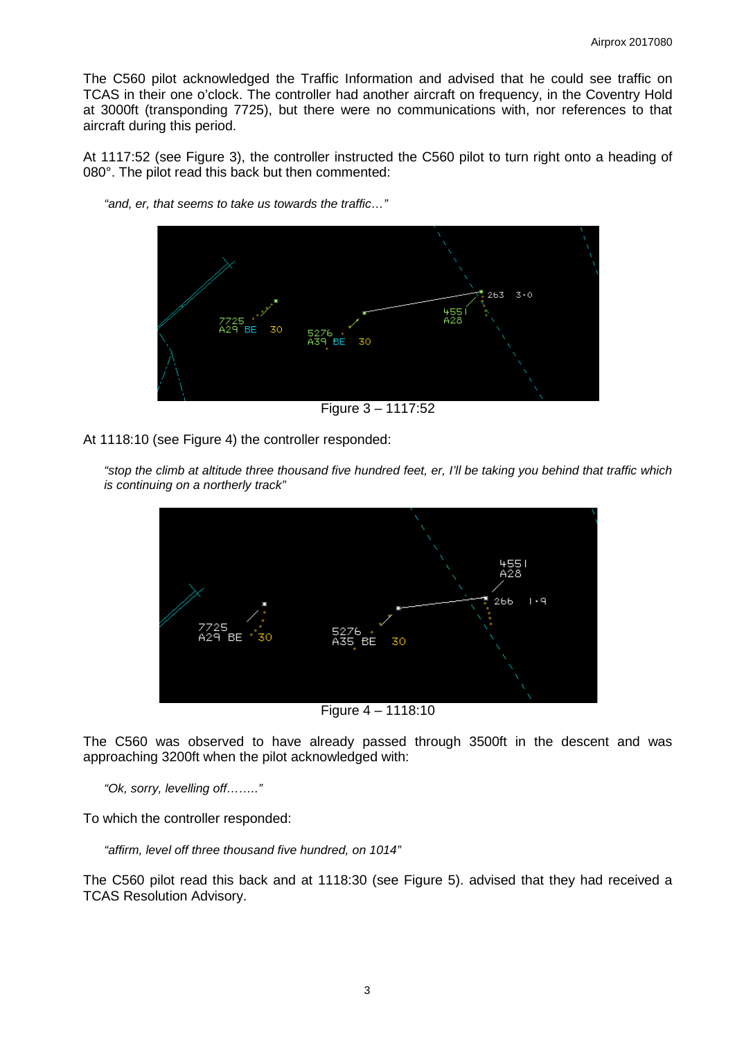The C560 pilot acknowledged the Traffic Information and advised that he could see traffic on TCAS in their one o'clock. The controller had another aircraft on frequency, in the Coventry Hold at 3000ft (transponding 7725), but there were no communications with, nor references to that aircraft during this period.

At 1117:52 (see Figure 3), the controller instructed the C560 pilot to turn right onto a heading of 080°. The pilot read this back but then commented:



*"and, er, that seems to take us towards the traffic…"*

Figure 3 – 1117:52

At 1118:10 (see Figure 4) the controller responded:



*"stop the climb at altitude three thousand five hundred feet, er, I'll be taking you behind that traffic which is continuing on a northerly track"*

Figure 4 – 1118:10

The C560 was observed to have already passed through 3500ft in the descent and was approaching 3200ft when the pilot acknowledged with:

*"Ok, sorry, levelling off…….."*

To which the controller responded:

*"affirm, level off three thousand five hundred, on 1014"*

The C560 pilot read this back and at 1118:30 (see Figure 5). advised that they had received a TCAS Resolution Advisory.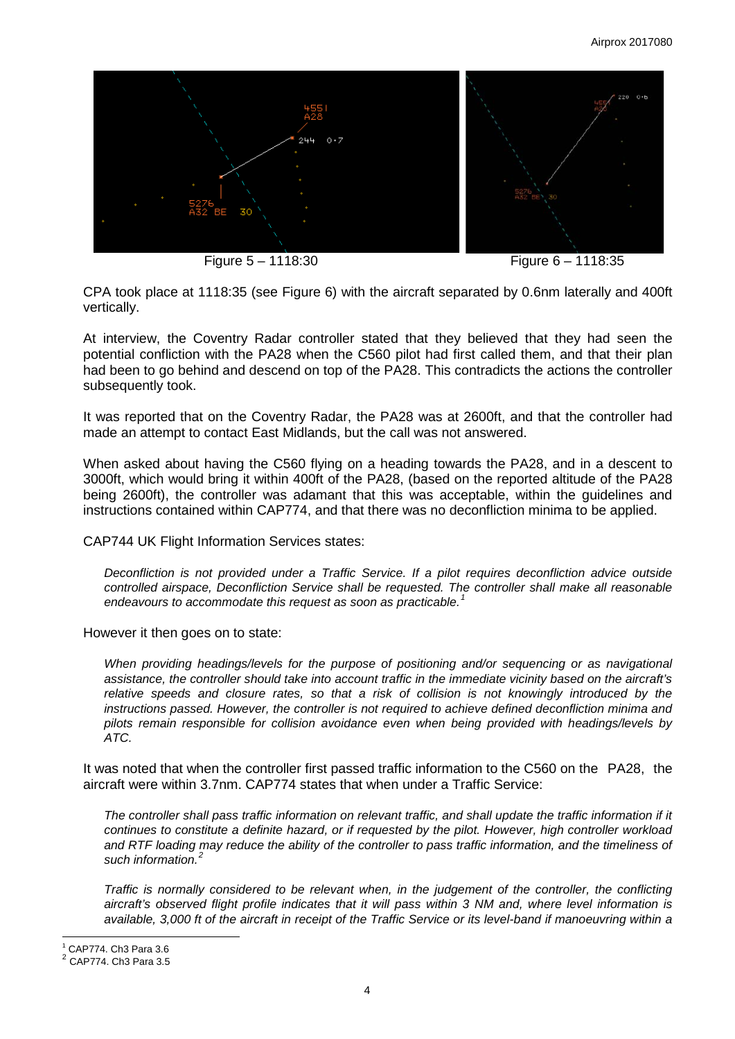

Figure 5 – 1118:30 Figure 6 – 1118:35

CPA took place at 1118:35 (see Figure 6) with the aircraft separated by 0.6nm laterally and 400ft vertically.

At interview, the Coventry Radar controller stated that they believed that they had seen the potential confliction with the PA28 when the C560 pilot had first called them, and that their plan had been to go behind and descend on top of the PA28. This contradicts the actions the controller subsequently took.

It was reported that on the Coventry Radar, the PA28 was at 2600ft, and that the controller had made an attempt to contact East Midlands, but the call was not answered.

When asked about having the C560 flying on a heading towards the PA28, and in a descent to 3000ft, which would bring it within 400ft of the PA28, (based on the reported altitude of the PA28 being 2600ft), the controller was adamant that this was acceptable, within the guidelines and instructions contained within CAP774, and that there was no deconfliction minima to be applied.

CAP744 UK Flight Information Services states:

*Deconfliction is not provided under a Traffic Service. If a pilot requires deconfliction advice outside controlled airspace, Deconfliction Service shall be requested. The controller shall make all reasonable endeavours to accommodate this request as soon as practicable.[1](#page-3-0)*

However it then goes on to state:

*When providing headings/levels for the purpose of positioning and/or sequencing or as navigational assistance, the controller should take into account traffic in the immediate vicinity based on the aircraft's relative speeds and closure rates, so that a risk of collision is not knowingly introduced by the instructions passed. However, the controller is not required to achieve defined deconfliction minima and pilots remain responsible for collision avoidance even when being provided with headings/levels by ATC.*

It was noted that when the controller first passed traffic information to the C560 on the PA28, the aircraft were within 3.7nm. CAP774 states that when under a Traffic Service:

*The controller shall pass traffic information on relevant traffic, and shall update the traffic information if it continues to constitute a definite hazard, or if requested by the pilot. However, high controller workload and RTF loading may reduce the ability of the controller to pass traffic information, and the timeliness of such information.[2](#page-3-1)*

*Traffic is normally considered to be relevant when, in the judgement of the controller, the conflicting aircraft's observed flight profile indicates that it will pass within 3 NM and, where level information is available, 3,000 ft of the aircraft in receipt of the Traffic Service or its level-band if manoeuvring within a* 

 $\overline{\phantom{a}}$  $^1$  CAP774. Ch3 Para 3.6

<span id="page-3-1"></span><span id="page-3-0"></span> $2$  CAP774. Ch3 Para 3.5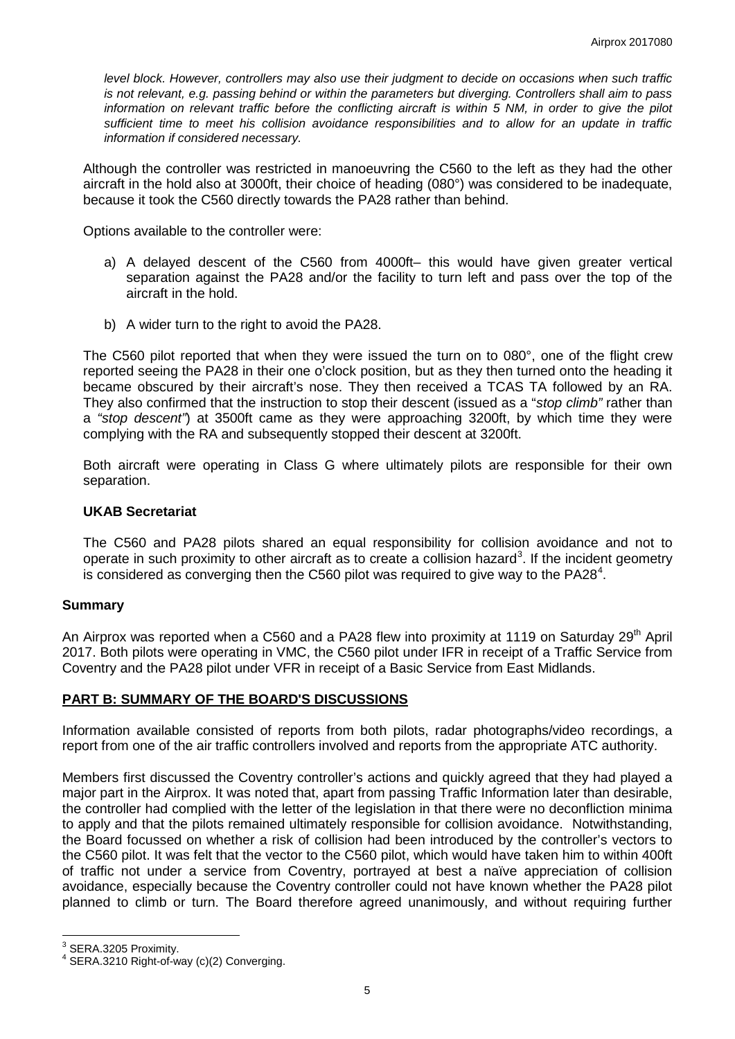*level block. However, controllers may also use their judgment to decide on occasions when such traffic is not relevant, e.g. passing behind or within the parameters but diverging. Controllers shall aim to pass information on relevant traffic before the conflicting aircraft is within 5 NM, in order to give the pilot sufficient time to meet his collision avoidance responsibilities and to allow for an update in traffic information if considered necessary.*

Although the controller was restricted in manoeuvring the C560 to the left as they had the other aircraft in the hold also at 3000ft, their choice of heading (080°) was considered to be inadequate, because it took the C560 directly towards the PA28 rather than behind.

Options available to the controller were:

- a) A delayed descent of the C560 from 4000ft– this would have given greater vertical separation against the PA28 and/or the facility to turn left and pass over the top of the aircraft in the hold.
- b) A wider turn to the right to avoid the PA28.

The C560 pilot reported that when they were issued the turn on to 080°, one of the flight crew reported seeing the PA28 in their one o'clock position, but as they then turned onto the heading it became obscured by their aircraft's nose. They then received a TCAS TA followed by an RA. They also confirmed that the instruction to stop their descent (issued as a "*stop climb"* rather than a *"stop descent"*) at 3500ft came as they were approaching 3200ft, by which time they were complying with the RA and subsequently stopped their descent at 3200ft.

Both aircraft were operating in Class G where ultimately pilots are responsible for their own separation.

#### **UKAB Secretariat**

The C560 and PA28 pilots shared an equal responsibility for collision avoidance and not to operate in such proximity to other aircraft as to create a collision hazard<sup>[3](#page-4-0)</sup>. If the incident geometry is considered as converging then the C560 pilot was required to give way to the PA28<sup>[4](#page-4-1)</sup>.

#### **Summary**

An Airprox was reported when a C560 and a PA28 flew into proximity at 1119 on Saturday 29<sup>th</sup> April 2017. Both pilots were operating in VMC, the C560 pilot under IFR in receipt of a Traffic Service from Coventry and the PA28 pilot under VFR in receipt of a Basic Service from East Midlands.

#### **PART B: SUMMARY OF THE BOARD'S DISCUSSIONS**

Information available consisted of reports from both pilots, radar photographs/video recordings, a report from one of the air traffic controllers involved and reports from the appropriate ATC authority.

Members first discussed the Coventry controller's actions and quickly agreed that they had played a major part in the Airprox. It was noted that, apart from passing Traffic Information later than desirable, the controller had complied with the letter of the legislation in that there were no deconfliction minima to apply and that the pilots remained ultimately responsible for collision avoidance. Notwithstanding, the Board focussed on whether a risk of collision had been introduced by the controller's vectors to the C560 pilot. It was felt that the vector to the C560 pilot, which would have taken him to within 400ft of traffic not under a service from Coventry, portrayed at best a naïve appreciation of collision avoidance, especially because the Coventry controller could not have known whether the PA28 pilot planned to climb or turn. The Board therefore agreed unanimously, and without requiring further

<span id="page-4-1"></span>

<span id="page-4-0"></span> $3$  SERA.3205 Proximity.<br> $4$  SERA.3210 Right-of-way (c)(2) Converging.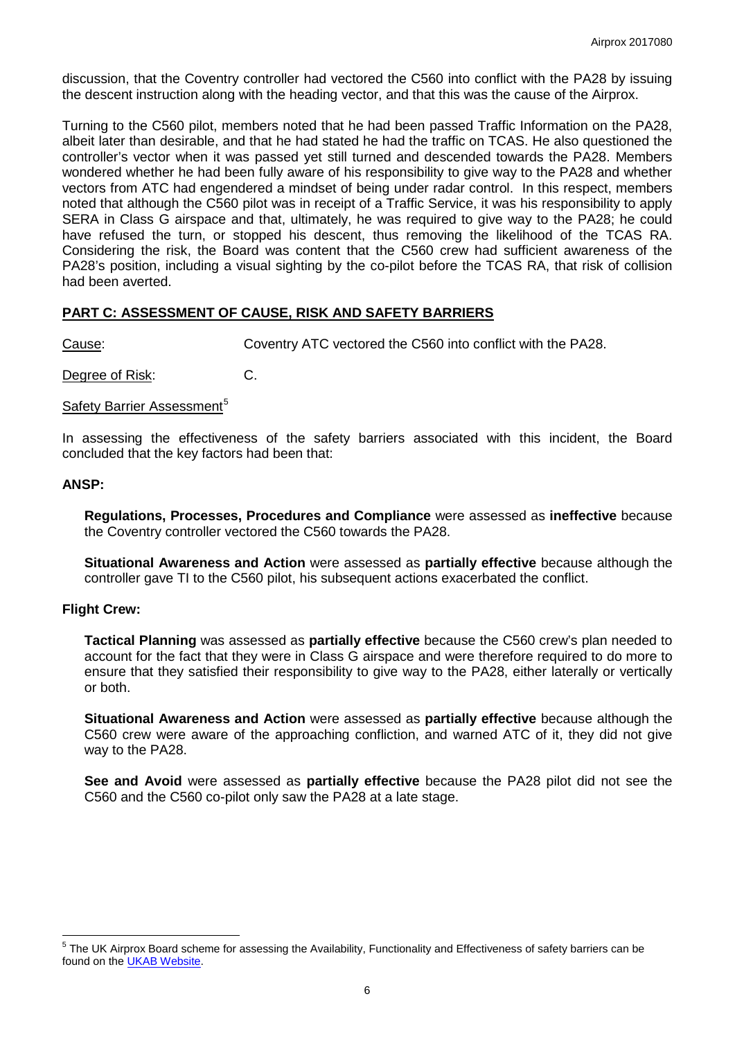discussion, that the Coventry controller had vectored the C560 into conflict with the PA28 by issuing the descent instruction along with the heading vector, and that this was the cause of the Airprox.

Turning to the C560 pilot, members noted that he had been passed Traffic Information on the PA28, albeit later than desirable, and that he had stated he had the traffic on TCAS. He also questioned the controller's vector when it was passed yet still turned and descended towards the PA28. Members wondered whether he had been fully aware of his responsibility to give way to the PA28 and whether vectors from ATC had engendered a mindset of being under radar control. In this respect, members noted that although the C560 pilot was in receipt of a Traffic Service, it was his responsibility to apply SERA in Class G airspace and that, ultimately, he was required to give way to the PA28; he could have refused the turn, or stopped his descent, thus removing the likelihood of the TCAS RA. Considering the risk, the Board was content that the C560 crew had sufficient awareness of the PA28's position, including a visual sighting by the co-pilot before the TCAS RA, that risk of collision had been averted.

## **PART C: ASSESSMENT OF CAUSE, RISK AND SAFETY BARRIERS**

Cause: Coventry ATC vectored the C560 into conflict with the PA28.

Degree of Risk: C.

#### Safety Barrier Assessment<sup>[5](#page-5-0)</sup>

In assessing the effectiveness of the safety barriers associated with this incident, the Board concluded that the key factors had been that:

### **ANSP:**

**Regulations, Processes, Procedures and Compliance** were assessed as **ineffective** because the Coventry controller vectored the C560 towards the PA28.

**Situational Awareness and Action** were assessed as **partially effective** because although the controller gave TI to the C560 pilot, his subsequent actions exacerbated the conflict.

#### **Flight Crew:**

**Tactical Planning** was assessed as **partially effective** because the C560 crew's plan needed to account for the fact that they were in Class G airspace and were therefore required to do more to ensure that they satisfied their responsibility to give way to the PA28, either laterally or vertically or both.

**Situational Awareness and Action** were assessed as **partially effective** because although the C560 crew were aware of the approaching confliction, and warned ATC of it, they did not give way to the PA28.

**See and Avoid** were assessed as **partially effective** because the PA28 pilot did not see the C560 and the C560 co-pilot only saw the PA28 at a late stage.

<span id="page-5-0"></span><sup>&</sup>lt;sup>5</sup> The UK Airprox Board scheme for assessing the Availability, Functionality and Effectiveness of safety barriers can be found on the [UKAB Website.](http://www.airproxboard.org.uk/Learn-more/Airprox-Barrier-Assessment/)